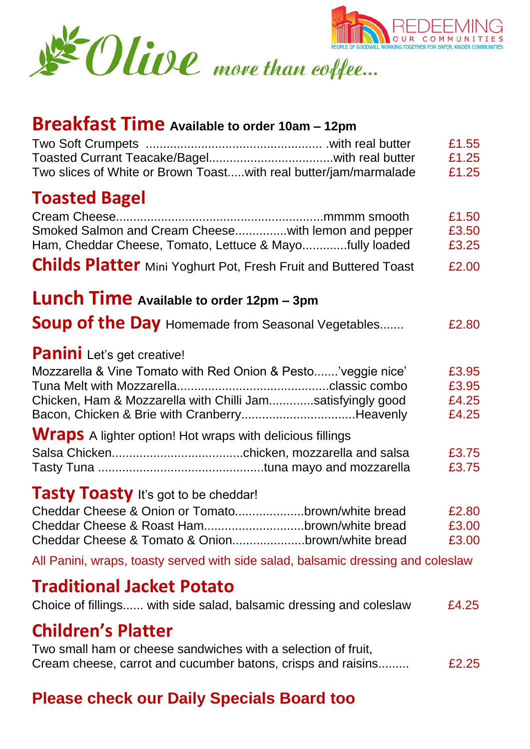



# **Children's Platter**

Two small ham or cheese sandwiches with a selection of fruit, Cream cheese, carrot and cucumber batons, crisps and raisins......... **E2.25** 

### **Please check our Daily Specials Board too**